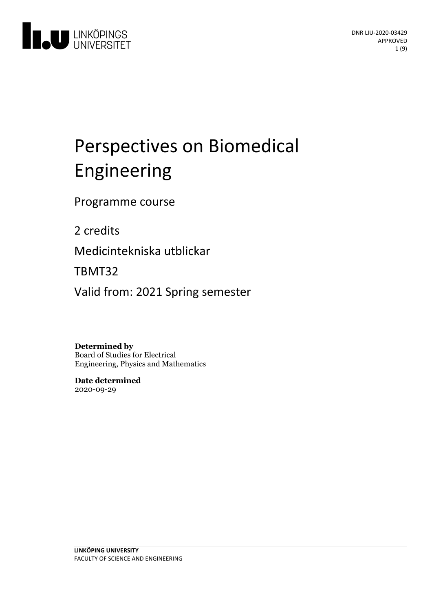

# Perspectives on Biomedical Engineering

Programme course

2 credits

Medicintekniska utblickar

TBMT32

Valid from: 2021 Spring semester

**Determined by** Board of Studies for Electrical Engineering, Physics and Mathematics

**Date determined** 2020-09-29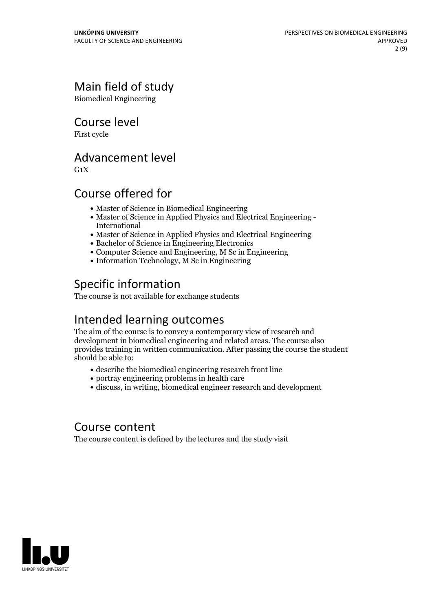# Main field of study

Biomedical Engineering

Course level

First cycle

# Advancement level

 $G_1X$ 

# Course offered for

- Master of Science in Biomedical Engineering
- Master of Science in Applied Physics and Electrical Engineering International
- Master of Science in Applied Physics and Electrical Engineering
- Bachelor of Science in Engineering Electronics
- Computer Science and Engineering, M Sc in Engineering
- Information Technology, M Sc in Engineering

# Specific information

The course is not available for exchange students

# Intended learning outcomes

The aim of the course is to convey a contemporary view of research and development in biomedical engineering and related areas. The course also provides training in written communication. After passing the course the student should be able to:

- describe the biomedical engineering research front line
- portray engineering problems in health care
- discuss, in writing, biomedical engineer research and development

### Course content

The course content is defined by the lectures and the study visit

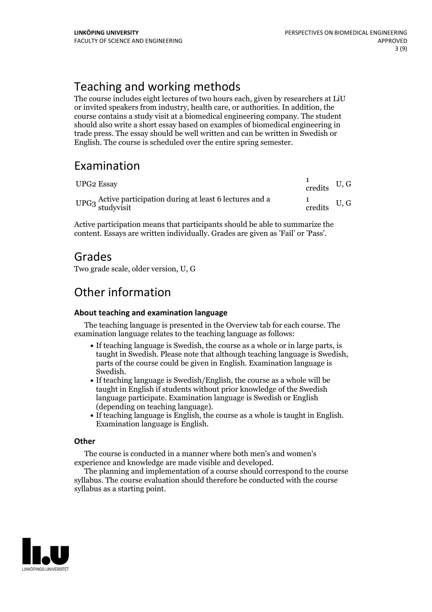# Teaching and working methods

The course includes eight lectures of two hours each, given by researchers at LiU or invited speakers from industry, health care, or authorities. In addition, the course contains a study visit at a biomedical engineering company. The student should also write a short essay based on examples of biomedical engineering in trade press. The essay should be well written and can be written in Swedish or English. The course is scheduled over the entire spring semester.

# Examination

| UPG2 Essay                                                                                             | $\frac{1}{1}$ credits U, G |  |
|--------------------------------------------------------------------------------------------------------|----------------------------|--|
| $\mathrm{UPG3}\xspace^{\mathrm{Active}}$ participation during at least 6 lectures and a study<br>visit | $\frac{1}{1}$ credits U, G |  |

Active participation means that participants should be able to summarize the content. Essays are written individually. Grades are given as'Fail' or 'Pass'.

### Grades

Two grade scale, older version, U, G

# Other information

### **About teaching and examination language**

The teaching language is presented in the Overview tab for each course. The examination language relates to the teaching language as follows:

- If teaching language is Swedish, the course as a whole or in large parts, is taught in Swedish. Please note that although teaching language is Swedish, parts of the course could be given in English. Examination language is Swedish.<br>• If teaching language is Swedish/English, the course as a whole will be
- taught in English if students without prior knowledge of the Swedish language participate. Examination language is Swedish or English
- (depending on teaching language).<br>• If teaching language is English, the course as a whole is taught in English.<br>Examination language is English.

### **Other**

The course is conducted in a manner where both men's and women's

experience and knowledge are made visible and developed. The planning and implementation of <sup>a</sup> course should correspond to the course syllabus. The course evaluation should therefore be conducted with the course syllabus as a starting point.

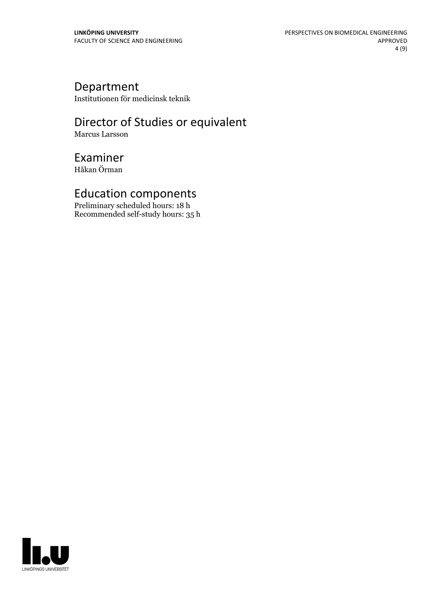## Department

Institutionen för medicinsk teknik

# Director of Studies or equivalent

Marcus Larsson

# Examiner

Håkan Örman

## Education components

Preliminary scheduled hours: 18 h Recommended self-study hours: 35 h

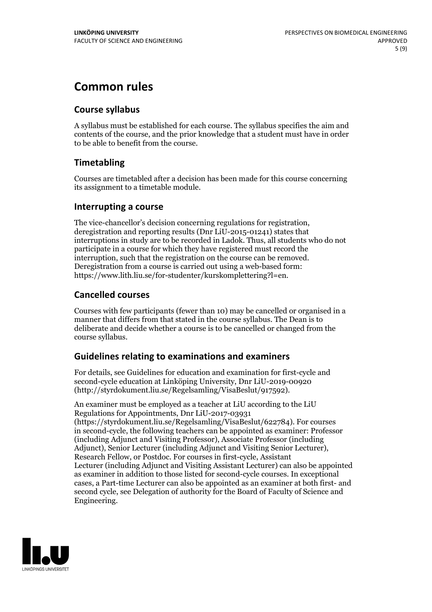# **Common rules**

### **Course syllabus**

A syllabus must be established for each course. The syllabus specifies the aim and contents of the course, and the prior knowledge that a student must have in order to be able to benefit from the course.

### **Timetabling**

Courses are timetabled after a decision has been made for this course concerning its assignment to a timetable module.

### **Interrupting a course**

The vice-chancellor's decision concerning regulations for registration, deregistration and reporting results (Dnr LiU-2015-01241) states that interruptions in study are to be recorded in Ladok. Thus, all students who do not participate in a course for which they have registered must record the interruption, such that the registration on the course can be removed. Deregistration from <sup>a</sup> course is carried outusing <sup>a</sup> web-based form: https://www.lith.liu.se/for-studenter/kurskomplettering?l=en.

### **Cancelled courses**

Courses with few participants (fewer than 10) may be cancelled or organised in a manner that differs from that stated in the course syllabus. The Dean is to deliberate and decide whether a course is to be cancelled or changed from the course syllabus.

### **Guidelines relatingto examinations and examiners**

For details, see Guidelines for education and examination for first-cycle and second-cycle education at Linköping University, Dnr LiU-2019-00920 (http://styrdokument.liu.se/Regelsamling/VisaBeslut/917592).

An examiner must be employed as a teacher at LiU according to the LiU Regulations for Appointments, Dnr LiU-2017-03931 (https://styrdokument.liu.se/Regelsamling/VisaBeslut/622784). For courses in second-cycle, the following teachers can be appointed as examiner: Professor (including Adjunct and Visiting Professor), Associate Professor (including Adjunct), Senior Lecturer (including Adjunct and Visiting Senior Lecturer), Research Fellow, or Postdoc. For courses in first-cycle, Assistant Lecturer (including Adjunct and Visiting Assistant Lecturer) can also be appointed as examiner in addition to those listed for second-cycle courses. In exceptional cases, a Part-time Lecturer can also be appointed as an examiner at both first- and second cycle, see Delegation of authority for the Board of Faculty of Science and Engineering.

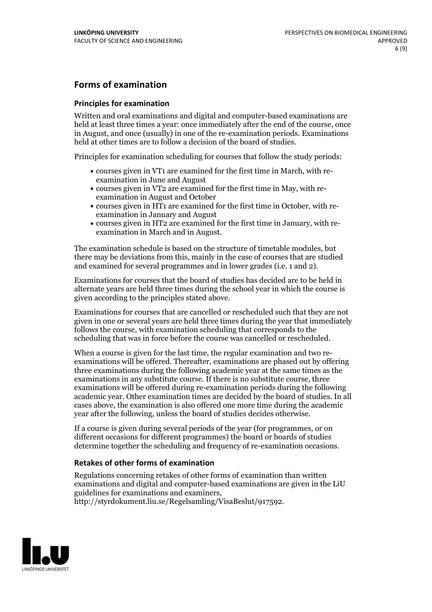### **Forms of examination**

### **Principles for examination**

Written and oral examinations and digital and computer-based examinations are held at least three times a year: once immediately after the end of the course, once in August, and once (usually) in one of the re-examination periods. Examinations held at other times are to follow a decision of the board of studies.

Principles for examination scheduling for courses that follow the study periods:

- courses given in VT1 are examined for the first time in March, with re-examination in June and August
- courses given in VT2 are examined for the first time in May, with re-examination in August and October
- courses given in HT1 are examined for the first time in October, with re-examination in January and August
- courses given in HT2 are examined for the first time in January, with re-examination in March and in August.

The examination schedule is based on the structure of timetable modules, but there may be deviations from this, mainly in the case of courses that are studied and examined for several programmes and in lower grades (i.e. 1 and 2).

Examinations for courses that the board of studies has decided are to be held in alternate years are held three times during the school year in which the course is given according to the principles stated above.

Examinations for courses that are cancelled orrescheduled such that they are not given in one or several years are held three times during the year that immediately follows the course, with examination scheduling that corresponds to the scheduling that was in force before the course was cancelled or rescheduled.

When a course is given for the last time, the regular examination and two re-<br>examinations will be offered. Thereafter, examinations are phased out by offering three examinations during the following academic year at the same times as the examinations in any substitute course. If there is no substitute course, three examinations will be offered during re-examination periods during the following academic year. Other examination times are decided by the board of studies. In all cases above, the examination is also offered one more time during the academic year after the following, unless the board of studies decides otherwise.

If a course is given during several periods of the year (for programmes, or on different occasions for different programmes) the board or boards of studies determine together the scheduling and frequency of re-examination occasions.

### **Retakes of other forms of examination**

Regulations concerning retakes of other forms of examination than written examinations and digital and computer-based examinations are given in the LiU guidelines for examinations and examiners, http://styrdokument.liu.se/Regelsamling/VisaBeslut/917592.

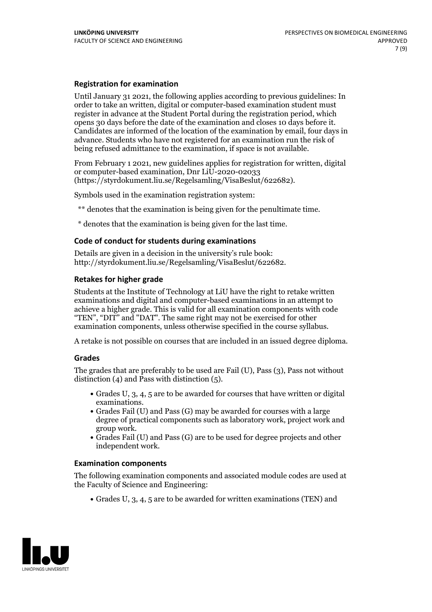### **Registration for examination**

Until January 31 2021, the following applies according to previous guidelines: In order to take an written, digital or computer-based examination student must register in advance at the Student Portal during the registration period, which Candidates are informed of the location of the examination by email, four days in advance. Students who have not registered for an examination run the risk of being refused admittance to the examination, if space is not available.

From February 1 2021, new guidelines applies for registration for written, digital or computer-based examination, Dnr LiU-2020-02033 (https://styrdokument.liu.se/Regelsamling/VisaBeslut/622682).

Symbols used in the examination registration system:

\*\* denotes that the examination is being given for the penultimate time.

\* denotes that the examination is being given for the last time.

### **Code of conduct for students during examinations**

Details are given in a decision in the university's rule book: http://styrdokument.liu.se/Regelsamling/VisaBeslut/622682.

### **Retakes for higher grade**

Students at the Institute of Technology at LiU have the right to retake written examinations and digital and computer-based examinations in an attempt to achieve a higher grade. This is valid for all examination components with code "TEN", "DIT" and "DAT". The same right may not be exercised for other examination components, unless otherwise specified in the course syllabus.

A retake is not possible on courses that are included in an issued degree diploma.

### **Grades**

The grades that are preferably to be used are Fail (U), Pass (3), Pass not without distinction  $(4)$  and Pass with distinction  $(5)$ .

- Grades U, 3, 4, 5 are to be awarded for courses that have written or digital
- examinations.<br>• Grades Fail (U) and Pass (G) may be awarded for courses with a large degree of practical components such as laboratory work, project work and
- $\bullet$  Grades Fail (U) and Pass (G) are to be used for degree projects and other independent work.

### **Examination components**

The following examination components and associated module codes are used at the Faculty of Science and Engineering:

Grades U, 3, 4, 5 are to be awarded for written examinations (TEN) and

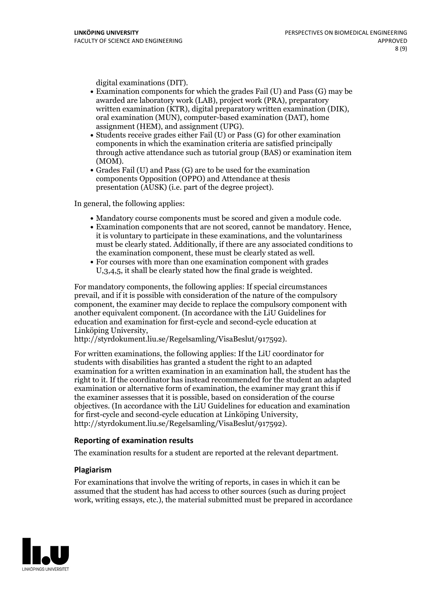- digital examinations (DIT).<br>• Examination components for which the grades Fail (U) and Pass (G) may be awarded are laboratory work (LAB), project work (PRA), preparatory written examination (KTR), digital preparatory written examination (DIK), oral examination (MUN), computer-based examination (DAT), home
- assignment (HEM), and assignment (UPG).<br>• Students receive grades either Fail (U) or Pass (G) for other examination components in which the examination criteria are satisfied principally through active attendance such as tutorial group (BAS) or examination item
- (MOM).<br>• Grades Fail (U) and Pass (G) are to be used for the examination components Opposition (OPPO) and Attendance at thesis presentation (AUSK) (i.e. part of the degree project).

In general, the following applies:

- 
- Mandatory course components must be scored and given <sup>a</sup> module code. Examination components that are not scored, cannot be mandatory. Hence, it is voluntary to participate in these examinations, and the voluntariness must be clearly stated. Additionally, if there are any associated conditions to the examination component, these must be clearly stated as well.<br>• For courses with more than one examination component with grades
- U,3,4,5, it shall be clearly stated how the final grade is weighted.

For mandatory components, the following applies: If special circumstances prevail, and if it is possible with consideration of the nature ofthe compulsory component, the examiner may decide to replace the compulsory component with another equivalent component. (In accordance with the LiU Guidelines for education and examination for first-cycle and second-cycle education at Linköping University, http://styrdokument.liu.se/Regelsamling/VisaBeslut/917592).

For written examinations, the following applies: If the LiU coordinator for students with disabilities has granted a student the right to an adapted examination for a written examination in an examination hall, the student has the right to it. If the coordinator has instead recommended for the student an adapted examination or alternative form of examination, the examiner may grant this if the examiner assesses that it is possible, based on consideration of the course objectives. (In accordance with the LiU Guidelines for education and examination for first-cycle and second-cycle education at Linköping University, http://styrdokument.liu.se/Regelsamling/VisaBeslut/917592).

### **Reporting of examination results**

The examination results for a student are reported at the relevant department.

### **Plagiarism**

For examinations that involve the writing of reports, in cases in which it can be assumed that the student has had access to other sources (such as during project work, writing essays, etc.), the material submitted must be prepared in accordance